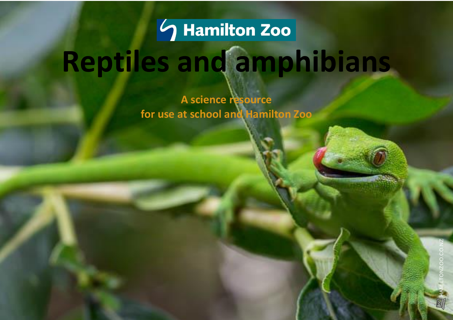

# **Reptiles and amphibians**

**A science resource for use at school and Hamilton Zoo**

Hamilton Zoo – Reptiles and Amphibians unit 1998 and Amphibians unit 1998 and Amphibians unit 1998 and Amphibia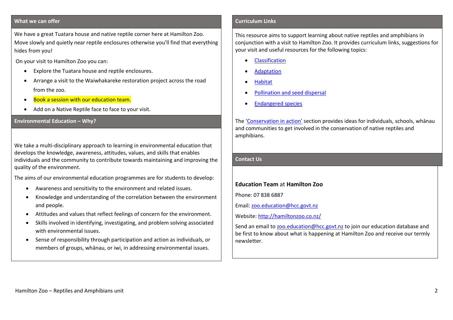### **What we can offer**

We have a great Tuatara house and native reptile corner here at Hamilton Zoo. Move slowly and quietly near reptile enclosures otherwise you'll find that everything hides from you!

On your visit to Hamilton Zoo you can:

- Explore the Tuatara house and reptile enclosures.
- Arrange a visit to the Waiwhakareke restoration project across the road from the zoo.
- Book a session with our education team.
- Add on a Native Reptile face to face to your visit.

## **Environmental Education – Why?**

We take a multi-disciplinary approach to learning in environmental education that develops the knowledge, awareness, attitudes, values, and skills that enables individuals and the community to contribute towards maintaining and improving the quality of the environment.

The aims of our environmental education programmes are for students to develop:

- Awareness and sensitivity to the environment and related issues.
- Knowledge and understanding of the correlation between the environment and people.
- Attitudes and values that reflect feelings of concern for the environment.
- Skills involved in identifying, investigating, and problem solving associated with environmental issues.
- Sense of responsibility through participation and action as individuals, or members of groups, whānau, or iwi, in addressing environmental issues.

### **Curriculum Links**

This resource aims to support learning about native reptiles and amphibians in conjunction with a visit to Hamilton Zoo. It provides curriculum links, suggestions for your visit and useful resources for the following topics:

- [Classification](#page-2-0)
- [Adaptation](#page-3-0)
- **[Habitat](#page-4-0)**
- [Pollination and seed dispersal](#page-4-1)
- [Endangered species](#page-6-0)

The ['Conservation in action'](#page-8-0) section provides ideas for individuals, schools, whānau and communities to get involved in the conservation of native reptiles and amphibians.

# **Contact Us**

# **Education Team** at **Hamilton Zoo**

Phone: 07 838 6887

Email: [zoo.education@hcc.govt.nz](mailto:zoo.education@hcc.govt.nz) 

Website:<http://hamiltonzoo.co.nz/>

Send an email t[o zoo.education@hcc.govt.nz](mailto:zoo.education@hcc.govt.nz) to join our education database and be first to know about what is happening at Hamilton Zoo and receive our termly newsletter.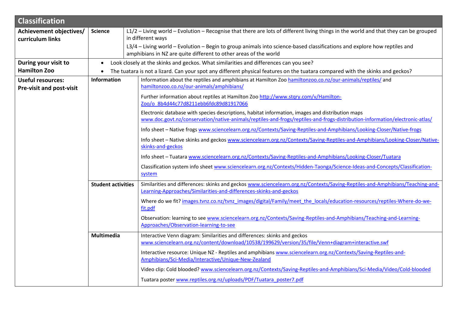<span id="page-2-0"></span>

| <b>Classification</b>                                                      |                           |                                                                                                                                                                                                                                                                                                                                                                                                                                                                                                                                                                                                                                                                                                                                                                                                                                                                                                                                                                                                                                                                  |  |  |
|----------------------------------------------------------------------------|---------------------------|------------------------------------------------------------------------------------------------------------------------------------------------------------------------------------------------------------------------------------------------------------------------------------------------------------------------------------------------------------------------------------------------------------------------------------------------------------------------------------------------------------------------------------------------------------------------------------------------------------------------------------------------------------------------------------------------------------------------------------------------------------------------------------------------------------------------------------------------------------------------------------------------------------------------------------------------------------------------------------------------------------------------------------------------------------------|--|--|
| Achievement objectives/<br>curriculum links                                | <b>Science</b>            | L1/2 - Living world - Evolution - Recognise that there are lots of different living things in the world and that they can be grouped<br>in different ways<br>L3/4 - Living world - Evolution - Begin to group animals into science-based classifications and explore how reptiles and<br>amphibians in NZ are quite different to other areas of the world                                                                                                                                                                                                                                                                                                                                                                                                                                                                                                                                                                                                                                                                                                        |  |  |
| During your visit to<br><b>Hamilton Zoo</b>                                | $\bullet$                 | Look closely at the skinks and geckos. What similarities and differences can you see?<br>The tuatara is not a lizard. Can your spot any different physical features on the tuatara compared with the skinks and geckos?                                                                                                                                                                                                                                                                                                                                                                                                                                                                                                                                                                                                                                                                                                                                                                                                                                          |  |  |
| <b>Useful resources:</b><br><b>Information</b><br>Pre-visit and post-visit |                           | Information about the reptiles and amphibians at Hamilton Zoo hamiltonzoo.co.nz/our-animals/reptiles/ and<br>hamiltonzoo.co.nz/our-animals/amphibians/<br>Further information about reptiles at Hamilton Zoo http://www.stqry.com/v/Hamilton-<br>Zoo/o 8b4d44c77d8211ebb6fdc89d81917066<br>Electronic database with species descriptions, habitat information, images and distribution maps<br>www.doc.govt.nz/conservation/native-animals/reptiles-and-frogs/reptiles-and-frogs-distribution-information/electronic-atlas/<br>Info sheet - Native frogs www.sciencelearn.org.nz/Contexts/Saving-Reptiles-and-Amphibians/Looking-Closer/Native-frogs<br>Info sheet - Native skinks and geckos www.sciencelearn.org.nz/Contexts/Saving-Reptiles-and-Amphibians/Looking-Closer/Native-<br>skinks-and-geckos<br>Info sheet - Tuatara www.sciencelearn.org.nz/Contexts/Saving-Reptiles-and-Amphibians/Looking-Closer/Tuatara<br>Classification system info sheet www.sciencelearn.org.nz/Contexts/Hidden-Taonga/Science-Ideas-and-Concepts/Classification-<br>system |  |  |
|                                                                            | <b>Student activities</b> | Similarities and differences: skinks and geckos www.sciencelearn.org.nz/Contexts/Saving-Reptiles-and-Amphibians/Teaching-and-<br>Learning-Approaches/Similarities-and-differences-skinks-and-geckos<br>Where do we fit? images.tvnz.co.nz/tvnz_images/digital/Family/meet_the_locals/education-resources/reptiles-Where-do-we-<br>fit.pdf<br>Observation: learning to see www.sciencelearn.org.nz/Contexts/Saving-Reptiles-and-Amphibians/Teaching-and-Learning-<br>Approaches/Observation-learning-to-see                                                                                                                                                                                                                                                                                                                                                                                                                                                                                                                                                       |  |  |
|                                                                            | Multimedia                | Interactive Venn diagram: Similarities and differences: skinks and geckos<br>www.sciencelearn.org.nz/content/download/10538/199629/version/35/file/Venn+diagram+interactive.swf<br>Interactive resource: Unique NZ - Reptiles and amphibians www.sciencelearn.org.nz/Contexts/Saving-Reptiles-and-<br>Amphibians/Sci-Media/Interactive/Unique-New-Zealand<br>Video clip: Cold blooded? www.sciencelearn.org.nz/Contexts/Saving-Reptiles-and-Amphibians/Sci-Media/Video/Cold-blooded<br>Tuatara poster www.reptiles.org.nz/uploads/PDF/Tuatara poster7.pdf                                                                                                                                                                                                                                                                                                                                                                                                                                                                                                        |  |  |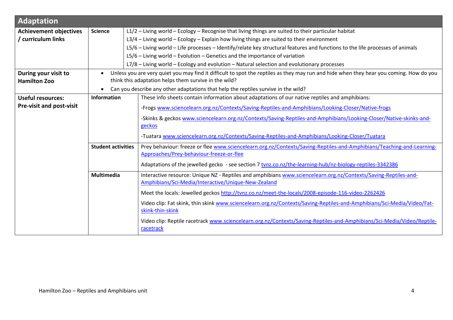<span id="page-3-0"></span>

| <b>Adaptation</b>               |                                                                                                                      |                                                                                                                                                                        |  |  |
|---------------------------------|----------------------------------------------------------------------------------------------------------------------|------------------------------------------------------------------------------------------------------------------------------------------------------------------------|--|--|
| <b>Achievement objectives</b>   | <b>Science</b>                                                                                                       | L1/2 - Living world - Ecology - Recognise that living things are suited to their particular habitat                                                                    |  |  |
| / curriculum links              |                                                                                                                      | L3/4 - Living world - Ecology - Explain how living things are suited to their environment                                                                              |  |  |
|                                 |                                                                                                                      | L5/6 – Living world – Life processes – Identify/relate key structural features and functions to the life processes of animals                                          |  |  |
|                                 |                                                                                                                      | $L5/6$ – Living world – Evolution – Genetics and the importance of variation                                                                                           |  |  |
|                                 |                                                                                                                      | L7/8 - Living world - Ecology and evolution - Natural selection and evolutionary processes                                                                             |  |  |
| During your visit to            |                                                                                                                      | Unless you are very quiet you may find it difficult to spot the reptiles as they may run and hide when they hear you coming. How do you                                |  |  |
| <b>Hamilton Zoo</b>             |                                                                                                                      | think this adaptation helps them survive in the wild?                                                                                                                  |  |  |
|                                 |                                                                                                                      | Can you describe any other adaptations that help the reptiles survive in the wild?                                                                                     |  |  |
| <b>Useful resources:</b>        | <b>Information</b><br>These info sheets contain information about adaptations of our native reptiles and amphibians: |                                                                                                                                                                        |  |  |
| <b>Pre-visit and post-visit</b> |                                                                                                                      | -Frogs www.sciencelearn.org.nz/Contexts/Saving-Reptiles-and-Amphibians/Looking-Closer/Native-frogs                                                                     |  |  |
|                                 |                                                                                                                      | -Skinks & geckos www.sciencelearn.org.nz/Contexts/Saving-Reptiles-and-Amphibians/Looking-Closer/Native-skinks-and-                                                     |  |  |
|                                 |                                                                                                                      | geckos                                                                                                                                                                 |  |  |
|                                 |                                                                                                                      | -Tuatara www.sciencelearn.org.nz/Contexts/Saving-Reptiles-and-Amphibians/Looking-Closer/Tuatara                                                                        |  |  |
|                                 | <b>Student activities</b>                                                                                            | Prey behaviour: freeze or flee www.sciencelearn.org.nz/Contexts/Saving-Reptiles-and-Amphibians/Teaching-and-Learning-<br>Approaches/Prey-behaviour-freeze-or-flee      |  |  |
|                                 | Adaptations of the jewelled gecko - see section 7 tynz.co.nz/the-learning-hub/nz-biology-reptiles-3342386            |                                                                                                                                                                        |  |  |
|                                 | Multimedia                                                                                                           | Interactive resource: Unique NZ - Reptiles and amphibians www.sciencelearn.org.nz/Contexts/Saving-Reptiles-and-<br>Amphibians/Sci-Media/Interactive/Unique-New-Zealand |  |  |
|                                 |                                                                                                                      | Meet the locals: Jewelled geckos http://tvnz.co.nz/meet-the-locals/2008-episode-116-video-2262426                                                                      |  |  |
|                                 |                                                                                                                      | Video clip: Fat skink, thin skink www.sciencelearn.org.nz/Contexts/Saving-Reptiles-and-Amphibians/Sci-Media/Video/Fat-<br>skink-thin-skink                             |  |  |
|                                 |                                                                                                                      | Video clip: Reptile racetrack www.sciencelearn.org.nz/Contexts/Saving-Reptiles-and-Amphibians/Sci-Media/Video/Reptile-<br>racetrack                                    |  |  |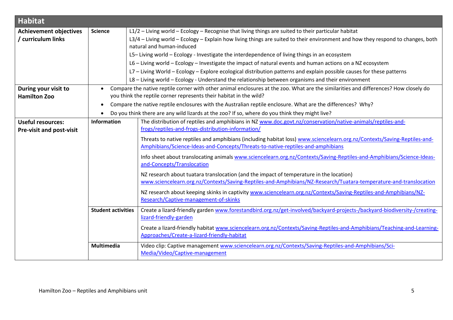<span id="page-4-1"></span><span id="page-4-0"></span>

| <b>Habitat</b>                  |                                                    |                                                                                                                                      |  |  |
|---------------------------------|----------------------------------------------------|--------------------------------------------------------------------------------------------------------------------------------------|--|--|
| <b>Achievement objectives</b>   | <b>Science</b>                                     | L1/2 - Living world - Ecology - Recognise that living things are suited to their particular habitat                                  |  |  |
| / curriculum links              |                                                    | L3/4 - Living world - Ecology - Explain how living things are suited to their environment and how they respond to changes, both      |  |  |
|                                 |                                                    | natural and human-induced                                                                                                            |  |  |
|                                 |                                                    | L5-Living world - Ecology - Investigate the interdependence of living things in an ecosystem                                         |  |  |
|                                 |                                                    | L6 - Living world - Ecology - Investigate the impact of natural events and human actions on a NZ ecosystem                           |  |  |
|                                 |                                                    | L7 - Living World - Ecology - Explore ecological distribution patterns and explain possible causes for these patterns                |  |  |
|                                 |                                                    | $LS - Living$ world $-$ Ecology - Understand the relationship between organisms and their environment                                |  |  |
| During your visit to            |                                                    | Compare the native reptile corner with other animal enclosures at the zoo. What are the similarities and differences? How closely do |  |  |
| <b>Hamilton Zoo</b>             |                                                    | you think the reptile corner represents their habitat in the wild?                                                                   |  |  |
|                                 | $\bullet$                                          | Compare the native reptile enclosures with the Australian reptile enclosure. What are the differences? Why?                          |  |  |
|                                 |                                                    | Do you think there are any wild lizards at the zoo? If so, where do you think they might live?                                       |  |  |
| <b>Useful resources:</b>        | Information                                        | The distribution of reptiles and amphibians in NZ www.doc.govt.nz/conservation/native-animals/reptiles-and-                          |  |  |
| <b>Pre-visit and post-visit</b> | frogs/reptiles-and-frogs-distribution-information/ |                                                                                                                                      |  |  |
|                                 |                                                    | Threats to native reptiles and amphibians (including habitat loss) www.sciencelearn.org.nz/Contexts/Saving-Reptiles-and-             |  |  |
|                                 |                                                    | Amphibians/Science-Ideas-and-Concepts/Threats-to-native-reptiles-and-amphibians                                                      |  |  |
|                                 |                                                    | Info sheet about translocating animals www.sciencelearn.org.nz/Contexts/Saving-Reptiles-and-Amphibians/Science-Ideas-                |  |  |
|                                 |                                                    | and-Concepts/Translocation                                                                                                           |  |  |
|                                 |                                                    | NZ research about tuatara translocation (and the impact of temperature in the location)                                              |  |  |
|                                 |                                                    | www.sciencelearn.org.nz/Contexts/Saving-Reptiles-and-Amphibians/NZ-Research/Tuatara-temperature-and-translocation                    |  |  |
|                                 |                                                    | NZ research about keeping skinks in captivity www.sciencelearn.org.nz/Contexts/Saving-Reptiles-and-Amphibians/NZ-                    |  |  |
|                                 |                                                    | Research/Captive-management-of-skinks                                                                                                |  |  |
|                                 | <b>Student activities</b>                          | Create a lizard-friendly garden www.forestandbird.org.nz/get-involved/backyard-projects-/backyard-biodiversity-/creating-            |  |  |
|                                 |                                                    | lizard-friendly-garden                                                                                                               |  |  |
|                                 |                                                    | Create a lizard-friendly habitat www.sciencelearn.org.nz/Contexts/Saving-Reptiles-and-Amphibians/Teaching-and-Learning-              |  |  |
|                                 |                                                    | Approaches/Create-a-lizard-friendly-habitat                                                                                          |  |  |
|                                 | Multimedia                                         | Video clip: Captive management www.sciencelearn.org.nz/Contexts/Saving-Reptiles-and-Amphibians/Sci-                                  |  |  |
|                                 |                                                    | Media/Video/Captive-management                                                                                                       |  |  |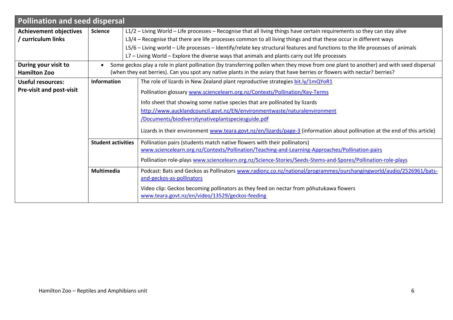| <b>Pollination and seed dispersal</b>       |                                                                                                       |                                                                                                                                                                                                                                                                    |  |  |
|---------------------------------------------|-------------------------------------------------------------------------------------------------------|--------------------------------------------------------------------------------------------------------------------------------------------------------------------------------------------------------------------------------------------------------------------|--|--|
| <b>Achievement objectives</b>               | <b>Science</b>                                                                                        | L1/2 - Living World - Life processes - Recognise that all living things have certain requirements so they can stay alive                                                                                                                                           |  |  |
| / curriculum links                          |                                                                                                       | L3/4 - Recognise that there are life processes common to all living things and that these occur in different ways                                                                                                                                                  |  |  |
|                                             |                                                                                                       | L5/6 – Living world – Life processes – Identify/relate key structural features and functions to the life processes of animals                                                                                                                                      |  |  |
|                                             |                                                                                                       | L7 - Living World - Explore the diverse ways that animals and plants carry out life processes                                                                                                                                                                      |  |  |
| During your visit to<br><b>Hamilton Zoo</b> |                                                                                                       | Some geckos play a role in plant pollination (by transferring pollen when they move from one plant to another) and with seed dispersal<br>(when they eat berries). Can you spot any native plants in the aviary that have berries or flowers with nectar? berries? |  |  |
| Useful resources:                           | <b>Information</b><br>The role of lizards in New Zealand plant reproductive strategies bit.ly/1mQYoR1 |                                                                                                                                                                                                                                                                    |  |  |
| Pre-visit and post-visit                    |                                                                                                       | Pollination glossary www.sciencelearn.org.nz/Contexts/Pollination/Key-Terms                                                                                                                                                                                        |  |  |
|                                             |                                                                                                       | Info sheet that showing some native species that are pollinated by lizards                                                                                                                                                                                         |  |  |
|                                             |                                                                                                       | http://www.aucklandcouncil.govt.nz/EN/environmentwaste/naturalenvironment                                                                                                                                                                                          |  |  |
|                                             |                                                                                                       | /Documents/biodiversitynativeplantspeciesguide.pdf                                                                                                                                                                                                                 |  |  |
|                                             |                                                                                                       | Lizards in their environment www.teara.govt.nz/en/lizards/page-3 (information about pollination at the end of this article)                                                                                                                                        |  |  |
|                                             | <b>Student activities</b>                                                                             | Pollination pairs (students match native flowers with their pollinators)                                                                                                                                                                                           |  |  |
|                                             |                                                                                                       | www.sciencelearn.org.nz/Contexts/Pollination/Teaching-and-Learning-Approaches/Pollination-pairs                                                                                                                                                                    |  |  |
|                                             |                                                                                                       | Pollination role-plays www.sciencelearn.org.nz/Science-Stories/Seeds-Stems-and-Spores/Pollination-role-plays                                                                                                                                                       |  |  |
|                                             | <b>Multimedia</b>                                                                                     | Podcast: Bats and Geckos as Pollinators www.radionz.co.nz/national/programmes/ourchangingworld/audio/2526961/bats-                                                                                                                                                 |  |  |
|                                             |                                                                                                       | and-geckos-as-pollinators                                                                                                                                                                                                                                          |  |  |
|                                             |                                                                                                       | Video clip: Geckos becoming pollinators as they feed on nectar from pōhutukawa flowers                                                                                                                                                                             |  |  |
|                                             |                                                                                                       | www.teara.govt.nz/en/video/13529/geckos-feeding                                                                                                                                                                                                                    |  |  |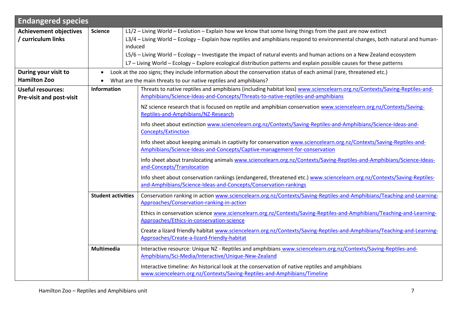<span id="page-6-0"></span>

| <b>Endangered species</b>       |                           |                                                                                                                                                                                                   |  |  |
|---------------------------------|---------------------------|---------------------------------------------------------------------------------------------------------------------------------------------------------------------------------------------------|--|--|
| <b>Achievement objectives</b>   | <b>Science</b>            | L1/2 - Living World - Evolution - Explain how we know that some living things from the past are now extinct                                                                                       |  |  |
| curriculum links                |                           | L3/4 - Living World - Ecology - Explain how reptiles and amphibians respond to environmental changes, both natural and human-<br>induced                                                          |  |  |
|                                 |                           | L5/6 - Living World - Ecology - Investigate the impact of natural events and human actions on a New Zealand ecosystem                                                                             |  |  |
|                                 |                           | L7 - Living World - Ecology - Explore ecological distribution patterns and explain possible causes for these patterns                                                                             |  |  |
| During your visit to            | $\bullet$                 |                                                                                                                                                                                                   |  |  |
| <b>Hamilton Zoo</b>             | $\bullet$                 | Look at the zoo signs; they include information about the conservation status of each animal (rare, threatened etc.)<br>What are the main threats to our native reptiles and amphibians?          |  |  |
|                                 | <b>Information</b>        | Threats to native reptiles and amphibians (including habitat loss) www.sciencelearn.org.nz/Contexts/Saving-Reptiles-and-                                                                          |  |  |
| <b>Useful resources:</b>        |                           | Amphibians/Science-Ideas-and-Concepts/Threats-to-native-reptiles-and-amphibians                                                                                                                   |  |  |
| <b>Pre-visit and post-visit</b> |                           |                                                                                                                                                                                                   |  |  |
|                                 |                           | NZ science research that is focused on reptile and amphibian conservation www.sciencelearn.org.nz/Contexts/Saving-<br>Reptiles-and-Amphibians/NZ-Research                                         |  |  |
|                                 |                           | Info sheet about extinction www.sciencelearn.org.nz/Contexts/Saving-Reptiles-and-Amphibians/Science-Ideas-and-                                                                                    |  |  |
|                                 |                           | <b>Concepts/Extinction</b>                                                                                                                                                                        |  |  |
|                                 |                           | Info sheet about keeping animals in captivity for conservation www.sciencelearn.org.nz/Contexts/Saving-Reptiles-and-<br>Amphibians/Science-Ideas-and-Concepts/Captive-management-for-conservation |  |  |
|                                 |                           | Info sheet about translocating animals www.sciencelearn.org.nz/Contexts/Saving-Reptiles-and-Amphibians/Science-Ideas-<br>and-Concepts/Translocation                                               |  |  |
|                                 |                           | Info sheet about conservation rankings (endangered, threatened etc.) www.sciencelearn.org.nz/Contexts/Saving-Reptiles-<br>and-Amphibians/Science-Ideas-and-Concepts/Conservation-rankings         |  |  |
|                                 | <b>Student activities</b> | Conservation ranking in action www.sciencelearn.org.nz/Contexts/Saving-Reptiles-and-Amphibians/Teaching-and-Learning-<br>Approaches/Conservation-ranking-in-action                                |  |  |
|                                 |                           | Ethics in conservation science www.sciencelearn.org.nz/Contexts/Saving-Reptiles-and-Amphibians/Teaching-and-Learning-<br>Approaches/Ethics-in-conservation-science                                |  |  |
|                                 |                           | Create a lizard friendly habitat www.sciencelearn.org.nz/Contexts/Saving-Reptiles-and-Amphibians/Teaching-and-Learning-<br>Approaches/Create-a-lizard-friendly-habitat                            |  |  |
|                                 | <b>Multimedia</b>         | Interactive resource: Unique NZ - Reptiles and amphibians www.sciencelearn.org.nz/Contexts/Saving-Reptiles-and-<br>Amphibians/Sci-Media/Interactive/Unique-New-Zealand                            |  |  |
|                                 |                           | Interactive timeline: An historical look at the conservation of native reptiles and amphibians<br>www.sciencelearn.org.nz/Contexts/Saving-Reptiles-and-Amphibians/Timeline                        |  |  |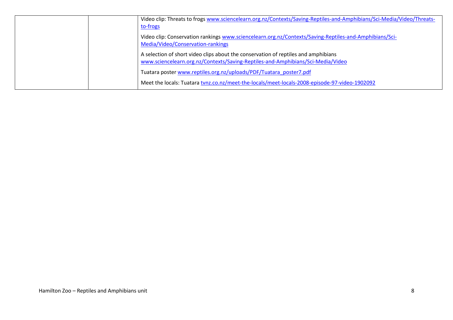| Video clip: Threats to frogs www.sciencelearn.org.nz/Contexts/Saving-Reptiles-and-Amphibians/Sci-Media/Video/Threats-<br>to-frogs                                     |
|-----------------------------------------------------------------------------------------------------------------------------------------------------------------------|
| Video clip: Conservation rankings www.sciencelearn.org.nz/Contexts/Saving-Reptiles-and-Amphibians/Sci-<br>Media/Video/Conservation-rankings                           |
| A selection of short video clips about the conservation of reptiles and amphibians<br>www.sciencelearn.org.nz/Contexts/Saving-Reptiles-and-Amphibians/Sci-Media/Video |
| Tuatara poster www.reptiles.org.nz/uploads/PDF/Tuatara poster7.pdf                                                                                                    |
| Meet the locals: Tuatara tvnz.co.nz/meet-the-locals/meet-locals-2008-episode-97-video-1902092                                                                         |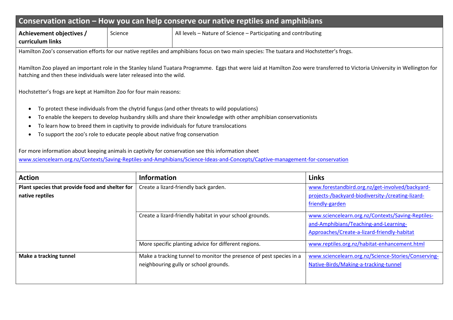<span id="page-8-0"></span>

| Conservation action $-$ How you can help conserve our native reptiles and amphibians                                                     |         |                                                                 |
|------------------------------------------------------------------------------------------------------------------------------------------|---------|-----------------------------------------------------------------|
| Achievement objectives /<br>curriculum links                                                                                             | Science | All levels - Nature of Science - Participating and contributing |
| Hamilton Zoo's consequation offerts for our pative reptiles and amphibians fosus on two main species; The tuatara and Hespetetter's from |         |                                                                 |

Hamilton Zoo's conservation efforts for our native reptiles and amphibians focus on two main species: The tuatara and Hochstetter's frogs.

Hamilton Zoo played an important role in the Stanley Island Tuatara Programme. Eggs that were laid at Hamilton Zoo were transferred to Victoria University in Wellington for hatching and then these individuals were later released into the wild.

Hochstetter's frogs are kept at Hamilton Zoo for four main reasons:

- To protect these individuals from the chytrid fungus (and other threats to wild populations)
- To enable the keepers to develop husbandry skills and share their knowledge with other amphibian conservationists
- To learn how to breed them in captivity to provide individuals for future translocations
- To support the zoo's role to educate people about native frog conservation

For more information about keeping animals in captivity for conservation see this information sheet

[www.sciencelearn.org.nz/Contexts/Saving-Reptiles-and-Amphibians/Science-Ideas-and-Concepts/Captive-management-for-conservation](http://www.sciencelearn.org.nz/Contexts/Saving-Reptiles-and-Amphibians/Science-Ideas-and-Concepts/Captive-management-for-conservation)

| <b>Action</b>                                   | <b>Information</b>                                                  | <b>Links</b>                                        |
|-------------------------------------------------|---------------------------------------------------------------------|-----------------------------------------------------|
| Plant species that provide food and shelter for | Create a lizard-friendly back garden.                               | www.forestandbird.org.nz/get-involved/backyard-     |
| native reptiles                                 |                                                                     | projects-/backyard-biodiversity-/creating-lizard-   |
|                                                 |                                                                     | friendly-garden                                     |
|                                                 | Create a lizard-friendly habitat in your school grounds.            | www.sciencelearn.org.nz/Contexts/Saving-Reptiles-   |
|                                                 |                                                                     | and-Amphibians/Teaching-and-Learning-               |
|                                                 |                                                                     | Approaches/Create-a-lizard-friendly-habitat         |
|                                                 | More specific planting advice for different regions.                | www.reptiles.org.nz/habitat-enhancement.html        |
| Make a tracking tunnel                          | Make a tracking tunnel to monitor the presence of pest species in a | www.sciencelearn.org.nz/Science-Stories/Conserving- |
|                                                 | neighbouring gully or school grounds.                               | Native-Birds/Making-a-tracking-tunnel               |
|                                                 |                                                                     |                                                     |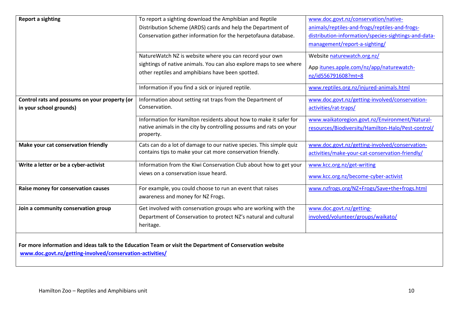| <b>Report a sighting</b>                      | To report a sighting download the Amphibian and Reptile                                                   | www.doc.govt.nz/conservation/native-                 |
|-----------------------------------------------|-----------------------------------------------------------------------------------------------------------|------------------------------------------------------|
|                                               | Distribution Scheme (ARDS) cards and help the Department of                                               | animals/reptiles-and-frogs/reptiles-and-frogs-       |
|                                               | Conservation gather information for the herpetofauna database.                                            | distribution-information/species-sightings-and-data- |
|                                               |                                                                                                           | management/report-a-sighting/                        |
|                                               | NatureWatch NZ is website where you can record your own                                                   | Website naturewatch.org.nz/                          |
|                                               | sightings of native animals. You can also explore maps to see where                                       | App itunes.apple.com/nz/app/naturewatch-             |
|                                               | other reptiles and amphibians have been spotted.                                                          | nz/id556791608?mt=8                                  |
|                                               | Information if you find a sick or injured reptile.                                                        | www.reptiles.org.nz/injured-animals.html             |
| Control rats and possums on your property (or | Information about setting rat traps from the Department of                                                | www.doc.govt.nz/getting-involved/conservation-       |
| in your school grounds)                       | Conservation.                                                                                             | activities/rat-traps/                                |
|                                               | Information for Hamilton residents about how to make it safer for                                         | www.waikatoregion.govt.nz/Environment/Natural-       |
|                                               | native animals in the city by controlling possums and rats on your<br>property.                           | resources/Biodiversity/Hamilton-Halo/Pest-control/   |
| Make your cat conservation friendly           | Cats can do a lot of damage to our native species. This simple quiz                                       | www.doc.govt.nz/getting-involved/conservation-       |
|                                               | contains tips to make your cat more conservation friendly.                                                | activities/make-your-cat-conservation-friendly/      |
| Write a letter or be a cyber-activist         | Information from the Kiwi Conservation Club about how to get your                                         | www.kcc.org.nz/get-writing                           |
|                                               | views on a conservation issue heard.                                                                      | www.kcc.org.nz/become-cyber-activist                 |
| Raise money for conservation causes           | For example, you could choose to run an event that raises                                                 | www.nzfrogs.org/NZ+Frogs/Save+the+frogs.html         |
|                                               | awareness and money for NZ Frogs.                                                                         |                                                      |
| Join a community conservation group           | Get involved with conservation groups who are working with the                                            | www.doc.govt.nz/getting-                             |
|                                               | Department of Conservation to protect NZ's natural and cultural                                           | involved/volunteer/groups/waikato/                   |
|                                               | heritage.                                                                                                 |                                                      |
|                                               |                                                                                                           |                                                      |
|                                               | For more information and ideas talk to the Education Team or visit the Department of Conservation website |                                                      |

**[www.doc.govt.nz/getting-involved/conservation-activities/](http://www.doc.govt.nz/getting-involved/conservation-activities/)**